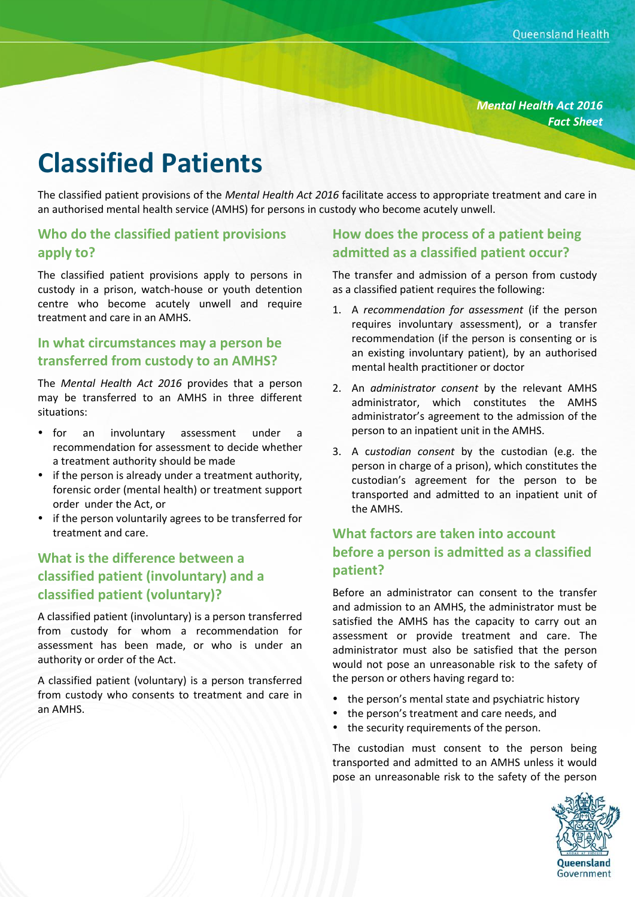*Mental Health Act 2016 Fact Sheet*

# **Classified Patients**

The classified patient provisions of the *Mental Health Act 2016* facilitate access to appropriate treatment and care in an authorised mental health service (AMHS) for persons in custody who become acutely unwell.

#### **Who do the classified patient provisions apply to?**

The classified patient provisions apply to persons in custody in a prison, watch-house or youth detention centre who become acutely unwell and require treatment and care in an AMHS.

### **In what circumstances may a person be transferred from custody to an AMHS?**

The *Mental Health Act 2016* provides that a person may be transferred to an AMHS in three different situations:

- for an involuntary assessment under a recommendation for assessment to decide whether a treatment authority should be made
- if the person is already under a treatment authority, forensic order (mental health) or treatment support order under the Act, or
- if the person voluntarily agrees to be transferred for treatment and care.

# **What is the difference between a classified patient (involuntary) and a classified patient (voluntary)?**

A classified patient (involuntary) is a person transferred from custody for whom a recommendation for assessment has been made, or who is under an authority or order of the Act.

A classified patient (voluntary) is a person transferred from custody who consents to treatment and care in an AMHS.

## **How does the process of a patient being admitted as a classified patient occur?**

The transfer and admission of a person from custody as a classified patient requires the following:

- 1. A *recommendation for assessment* (if the person requires involuntary assessment), or a transfer recommendation (if the person is consenting or is an existing involuntary patient), by an authorised mental health practitioner or doctor
- 2. An *administrator consent* by the relevant AMHS administrator, which constitutes the AMHS administrator's agreement to the admission of the person to an inpatient unit in the AMHS.
- 3. A c*ustodian consent* by the custodian (e.g. the person in charge of a prison), which constitutes the custodian's agreement for the person to be transported and admitted to an inpatient unit of the AMHS.

# **What factors are taken into account before a person is admitted as a classified patient?**

Before an administrator can consent to the transfer and admission to an AMHS, the administrator must be satisfied the AMHS has the capacity to carry out an assessment or provide treatment and care. The administrator must also be satisfied that the person would not pose an unreasonable risk to the safety of the person or others having regard to:

- the person's mental state and psychiatric history
- the person's treatment and care needs, and
- the security requirements of the person.

The custodian must consent to the person being transported and admitted to an AMHS unless it would pose an unreasonable risk to the safety of the person